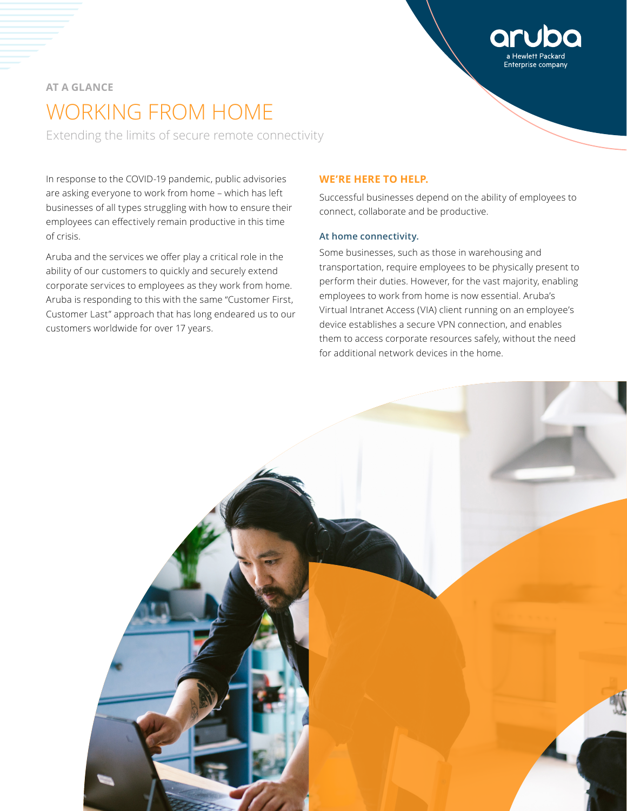# **AT A GLANCE** WORKING FROM HOME

Extending the limits of secure remote connectivity

In response to the COVID-19 pandemic, public advisories are asking everyone to work from home – which has left businesses of all types struggling with how to ensure their employees can effectively remain productive in this time of crisis.

Aruba and the services we offer play a critical role in the ability of our customers to quickly and securely extend corporate services to employees as they work from home. Aruba is responding to this with the same "Customer First, Customer Last" approach that has long endeared us to our customers worldwide for over 17 years.

## **WE'RE HERE TO HELP.**

Successful businesses depend on the ability of employees to connect, collaborate and be productive.

Enterprise company

# **At home connectivity.**

Some businesses, such as those in warehousing and transportation, require employees to be physically present to perform their duties. However, for the vast majority, enabling employees to work from home is now essential. Aruba's [Virtual Intranet Access](https://www.arubanetworks.com/assets/ds/DS_VIA.pdf) (VIA) client running on an employee's device establishes a secure VPN connection, and enables them to access corporate resources safely, without the need for additional network devices in the home.